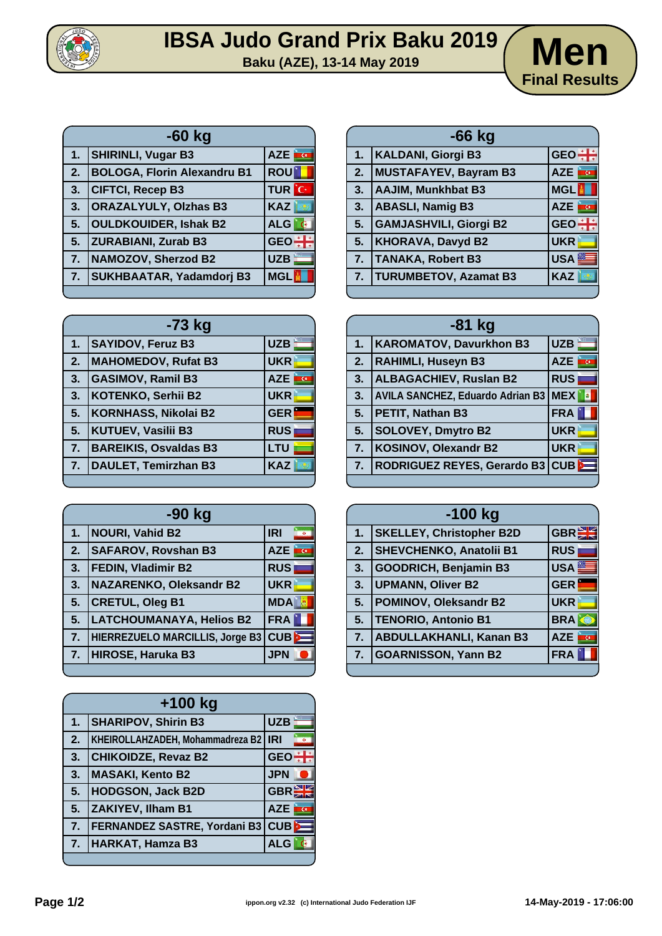

## **IBSA Judo Grand Prix Baku 2019 Men**



| $-60$ kg |                                    |              |  |
|----------|------------------------------------|--------------|--|
| 1.       | <b>SHIRINLI, Vugar B3</b>          | AZE          |  |
| 2.       | <b>BOLOGA, Florin Alexandru B1</b> | <b>ROU</b>   |  |
| 3.       | <b>CIFTCI, Recep B3</b>            | <b>TUR</b> C |  |
| 3.       | <b>ORAZALYULY, Olzhas B3</b>       | <b>KAZ</b>   |  |
| 5.       | <b>OULDKOUIDER, Ishak B2</b>       | <b>ALG</b>   |  |
| 5.       | <b>ZURABIANI, Zurab B3</b>         | <b>GEO</b>   |  |
| 7.       | <b>NAMOZOV, Sherzod B2</b>         | <b>UZB</b>   |  |
| 7.       | <b>SUKHBAATAR, Yadamdorj B3</b>    | <b>MGL</b>   |  |
|          |                                    |              |  |

| 1. | <b>KALDANI, Giorgi B3</b>     | $GEO \frac{1}{16}$       |  |
|----|-------------------------------|--------------------------|--|
| 2. | MUSTAFAYEV, Bayram B3         | AZE<br><mark>arch</mark> |  |
| 3. | AAJIM, Munkhbat B3            | <b>MGL</b>               |  |
| 3. | <b>ABASLI, Namig B3</b>       | <b>AZE</b><br><b>TO</b>  |  |
| 5. | <b>GAMJASHVILI, Giorgi B2</b> | GEO <sup>:</sup>         |  |
| 5. | <b>KHORAVA, Davyd B2</b>      | <b>UKR</b>               |  |
| 7. | <b>TANAKA, Robert B3</b>      | <b>USA</b>               |  |
|    | 7.   TURUMBETOV, Azamat B3    | <b>KAZ</b>               |  |
|    |                               |                          |  |

**-66 kg**

| $-73$ kg         |                              |                              |
|------------------|------------------------------|------------------------------|
| 1.               | <b>SAYIDOV, Feruz B3</b>     | <b>UZB</b>                   |
| 2.               | <b>MAHOMEDOV, Rufat B3</b>   | <b>UKR</b>                   |
| 3.               | <b>GASIMOV, Ramil B3</b>     | <b>AZE</b><br>$\overline{G}$ |
| 3.               | <b>KOTENKO, Serhii B2</b>    | <b>UKR</b>                   |
| 5.               | <b>KORNHASS, Nikolai B2</b>  | <b>GER</b>                   |
| 5.               | <b>KUTUEV, Vasilii B3</b>    | <b>RUS</b>                   |
| $\overline{7}$ . | <b>BAREIKIS, Osvaldas B3</b> | LTU                          |
| 7.               | <b>DAULET, Temirzhan B3</b>  | <b>KAZ</b>                   |
|                  |                              |                              |

| -90 kg |                                 |                        |  |
|--------|---------------------------------|------------------------|--|
| 1.     | <b>NOURI, Vahid B2</b>          | <b>IRI</b>             |  |
| 2.     | <b>SAFAROV, Rovshan B3</b>      | <b>AZE</b><br>$\alpha$ |  |
| 3.     | <b>FEDIN, Vladimir B2</b>       | <b>RUS</b>             |  |
| 3.     | <b>NAZARENKO, Oleksandr B2</b>  | <b>UKR</b>             |  |
| 5.     | <b>CRETUL, Oleg B1</b>          | <b>MDA</b>             |  |
| 5.     | <b>LATCHOUMANAYA, Helios B2</b> | <b>FRA</b>             |  |
| 7.     | HIERREZUELO MARCILLIS, Jorge B3 | <b>CUB</b>             |  |
| 7.     | <b>HIROSE, Haruka B3</b>        | <b>JPN</b>             |  |
|        |                                 |                        |  |

|    | $+100$ kg                           |                                    |  |
|----|-------------------------------------|------------------------------------|--|
| 1. | <b>SHARIPOV, Shirin B3</b>          | <b>UZB</b>                         |  |
| 2. | KHEIROLLAHZADEH, Mohammadreza B2    | <b>IRI</b>                         |  |
| 3. | <b>CHIKOIDZE, Revaz B2</b>          | <b>GEO</b>                         |  |
| 3. | <b>MASAKI, Kento B2</b>             | <b>JPN</b>                         |  |
| 5. | <b>HODGSON, Jack B2D</b>            | GBR                                |  |
| 5. | <b>ZAKIYEV, Ilham B1</b>            | inco.<br><b>AZE</b>                |  |
| 7. | <b>FERNANDEZ SASTRE, Yordani B3</b> | $\mathsf{CUB} \blacktriangleright$ |  |
| 7. | <b>HARKAT, Hamza B3</b>             | <b>ALG</b>                         |  |
|    |                                     |                                    |  |

|    | -81 kg                                      |             |
|----|---------------------------------------------|-------------|
| 1. | <b>KAROMATOV, Davurkhon B3</b>              | <b>UZB</b>  |
| 2. | <b>RAHIMLI, Huseyn B3</b>                   | ing.<br>AZE |
| 3. | <b>ALBAGACHIEV, Ruslan B2</b>               | <b>RUS</b>  |
| 3. | <b>AVILA SANCHEZ, Eduardo Adrian B3 MEX</b> |             |
| 5. | <b>PETIT, Nathan B3</b>                     | <b>FRA</b>  |
| 5. | <b>SOLOVEY, Dmytro B2</b>                   | <b>UKR</b>  |
| 7. | KOSINOV, Olexandr B2                        | <b>UKR</b>  |
| 7. | <b>RODRIGUEZ REYES, Gerardo B3</b>          | CUB         |

| $-100$ kg |                                 |                          |
|-----------|---------------------------------|--------------------------|
| 1.        | <b>SKELLEY, Christopher B2D</b> | <b>GBRE</b>              |
| 2.        | <b>SHEVCHENKO, Anatolii B1</b>  | <b>RUS</b>               |
| 3.        | <b>GOODRICH, Benjamin B3</b>    | USA <sup>S</sup>         |
| 3.        | <b>UPMANN, Oliver B2</b>        | <b>GER</b>               |
| 5.        | <b>POMINOV, Oleksandr B2</b>    | <b>UKR</b>               |
| 5.        | <b>TENORIO, Antonio B1</b>      | <b>BRA</b>               |
| 7.        | <b>ABDULLAKHANLI, Kanan B3</b>  | <b>AZE</b><br><u>inc</u> |
| 7.        | <b>GOARNISSON, Yann B2</b>      | <b>FRA</b>               |
|           |                                 |                          |